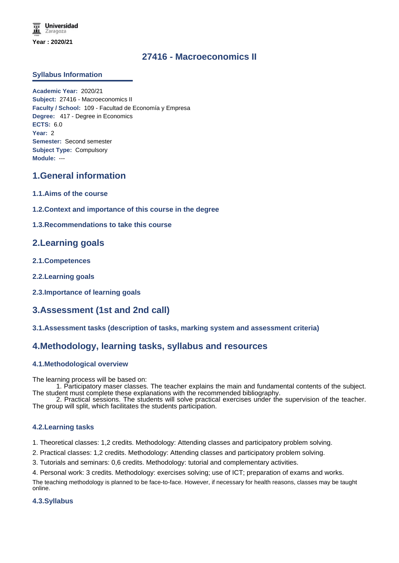# **27416 - Macroeconomics II**

### **Syllabus Information**

**Academic Year:** 2020/21 **Subject:** 27416 - Macroeconomics II **Faculty / School:** 109 - Facultad de Economía y Empresa **Degree:** 417 - Degree in Economics **ECTS:** 6.0 **Year:** 2 **Semester:** Second semester **Subject Type:** Compulsory **Module:** ---

# **1.General information**

- **1.1.Aims of the course**
- **1.2.Context and importance of this course in the degree**
- **1.3.Recommendations to take this course**

# **2.Learning goals**

- **2.1.Competences**
- **2.2.Learning goals**
- **2.3.Importance of learning goals**

# **3.Assessment (1st and 2nd call)**

**3.1.Assessment tasks (description of tasks, marking system and assessment criteria)**

# **4.Methodology, learning tasks, syllabus and resources**

#### **4.1.Methodological overview**

The learning process will be based on:

1. Participatory maser classes. The teacher explains the main and fundamental contents of the subject. The student must complete these explanations with the recommended bibliography.

2. Practical sessions. The students will solve practical exercises under the supervision of the teacher. The group will split, which facilitates the students participation.

#### **4.2.Learning tasks**

1. Theoretical classes: 1,2 credits. Methodology: Attending classes and participatory problem solving.

- 2. Practical classes: 1,2 credits. Methodology: Attending classes and participatory problem solving.
- 3. Tutorials and seminars: 0,6 credits. Methodology: tutorial and complementary activities.

4. Personal work: 3 credits. Methodology: exercises solving; use of ICT; preparation of exams and works. The teaching methodology is planned to be face-to-face. However, if necessary for health reasons, classes may be taught online.

#### **4.3.Syllabus**